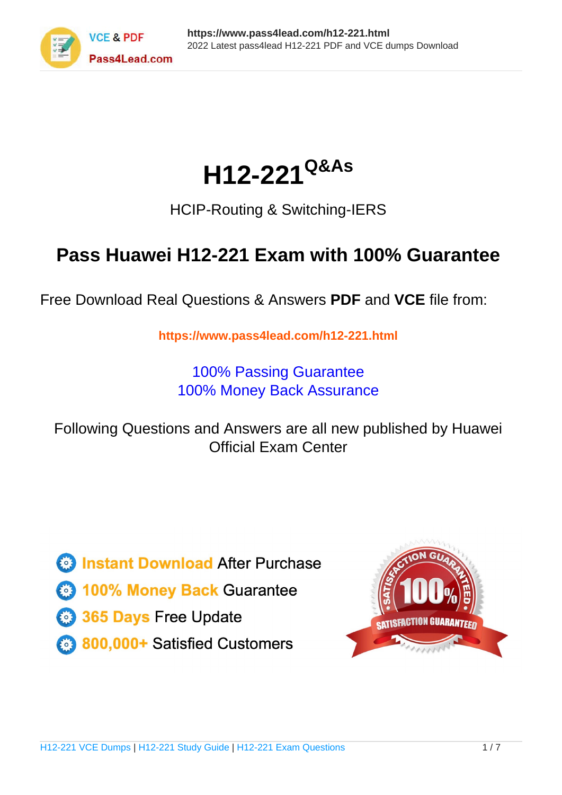

# **H12-221Q&As**

### HCIP-Routing & Switching-IERS

### **Pass Huawei H12-221 Exam with 100% Guarantee**

Free Download Real Questions & Answers **PDF** and **VCE** file from:

**https://www.pass4lead.com/h12-221.html**

100% Passing Guarantee 100% Money Back Assurance

Following Questions and Answers are all new published by Huawei Official Exam Center

**8 Instant Download After Purchase** 

**83 100% Money Back Guarantee** 

- 365 Days Free Update
- 800,000+ Satisfied Customers

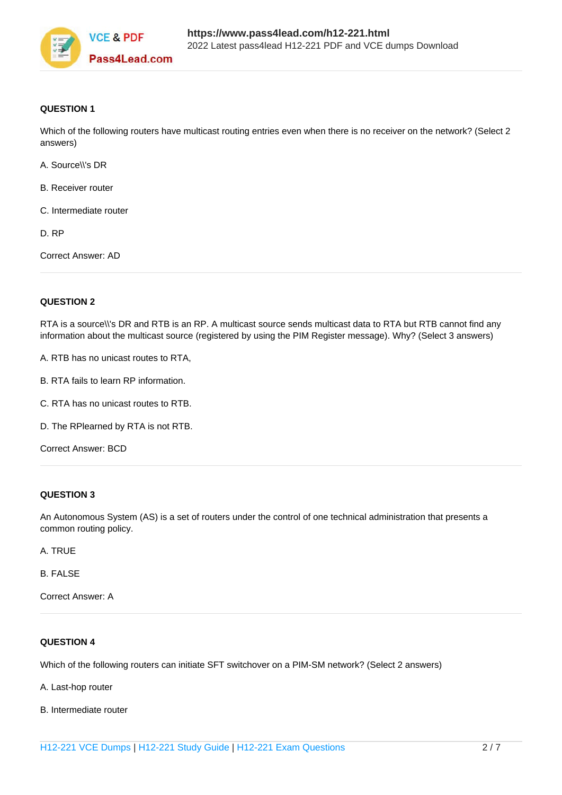

#### **QUESTION 1**

Which of the following routers have multicast routing entries even when there is no receiver on the network? (Select 2 answers)

- A. Source\\'s DR
- B. Receiver router
- C. Intermediate router

D. RP

Correct Answer: AD

#### **QUESTION 2**

RTA is a source\\'s DR and RTB is an RP. A multicast source sends multicast data to RTA but RTB cannot find any information about the multicast source (registered by using the PIM Register message). Why? (Select 3 answers)

A. RTB has no unicast routes to RTA,

- B. RTA fails to learn RP information.
- C. RTA has no unicast routes to RTB.
- D. The RPlearned by RTA is not RTB.

Correct Answer: BCD

#### **QUESTION 3**

An Autonomous System (AS) is a set of routers under the control of one technical administration that presents a common routing policy.

A. TRUE

B. FALSE

Correct Answer: A

#### **QUESTION 4**

Which of the following routers can initiate SFT switchover on a PIM-SM network? (Select 2 answers)

A. Last-hop router

B. Intermediate router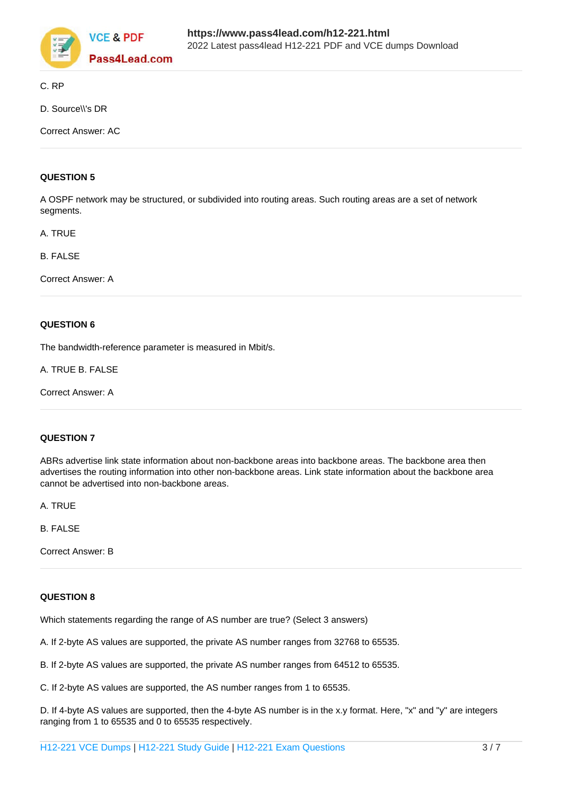

C. RP

D. Source\\'s DR

Correct Answer: AC

#### **QUESTION 5**

A OSPF network may be structured, or subdivided into routing areas. Such routing areas are a set of network segments.

A. TRUE

B. FALSE

Correct Answer: A

#### **QUESTION 6**

The bandwidth-reference parameter is measured in Mbit/s.

A. TRUE B. FALSE

Correct Answer: A

#### **QUESTION 7**

ABRs advertise link state information about non-backbone areas into backbone areas. The backbone area then advertises the routing information into other non-backbone areas. Link state information about the backbone area cannot be advertised into non-backbone areas.

A. TRUE

B. FALSE

Correct Answer: B

#### **QUESTION 8**

Which statements regarding the range of AS number are true? (Select 3 answers)

A. If 2-byte AS values are supported, the private AS number ranges from 32768 to 65535.

B. If 2-byte AS values are supported, the private AS number ranges from 64512 to 65535.

C. If 2-byte AS values are supported, the AS number ranges from 1 to 65535.

D. If 4-byte AS values are supported, then the 4-byte AS number is in the x.y format. Here, "x" and "y" are integers ranging from 1 to 65535 and 0 to 65535 respectively.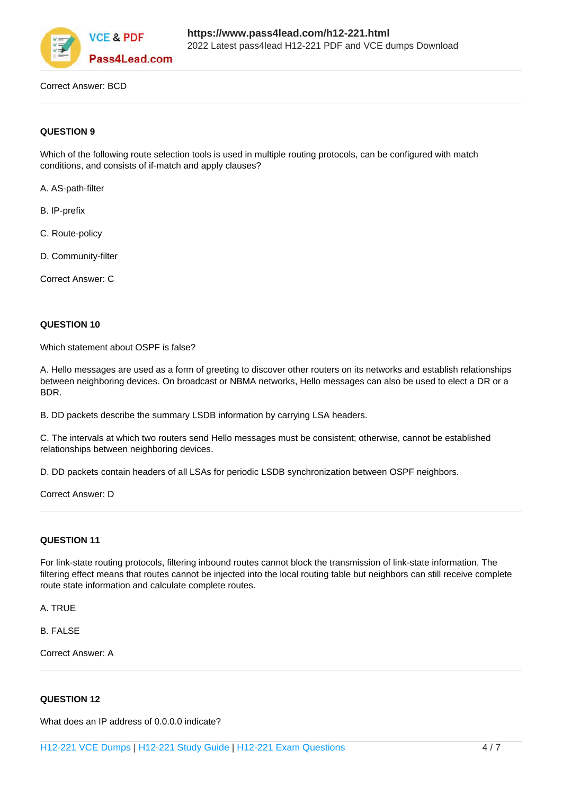

Correct Answer: BCD

#### **QUESTION 9**

Which of the following route selection tools is used in multiple routing protocols, can be configured with match conditions, and consists of if-match and apply clauses?

A. AS-path-filter

B. IP-prefix

- C. Route-policy
- D. Community-filter

Correct Answer: C

#### **QUESTION 10**

Which statement about OSPF is false?

A. Hello messages are used as a form of greeting to discover other routers on its networks and establish relationships between neighboring devices. On broadcast or NBMA networks, Hello messages can also be used to elect a DR or a BDR.

B. DD packets describe the summary LSDB information by carrying LSA headers.

C. The intervals at which two routers send Hello messages must be consistent; otherwise, cannot be established relationships between neighboring devices.

D. DD packets contain headers of all LSAs for periodic LSDB synchronization between OSPF neighbors.

Correct Answer: D

#### **QUESTION 11**

For link-state routing protocols, filtering inbound routes cannot block the transmission of link-state information. The filtering effect means that routes cannot be injected into the local routing table but neighbors can still receive complete route state information and calculate complete routes.

A. TRUE

B. FALSE

Correct Answer: A

#### **QUESTION 12**

What does an IP address of 0.0.0.0 indicate?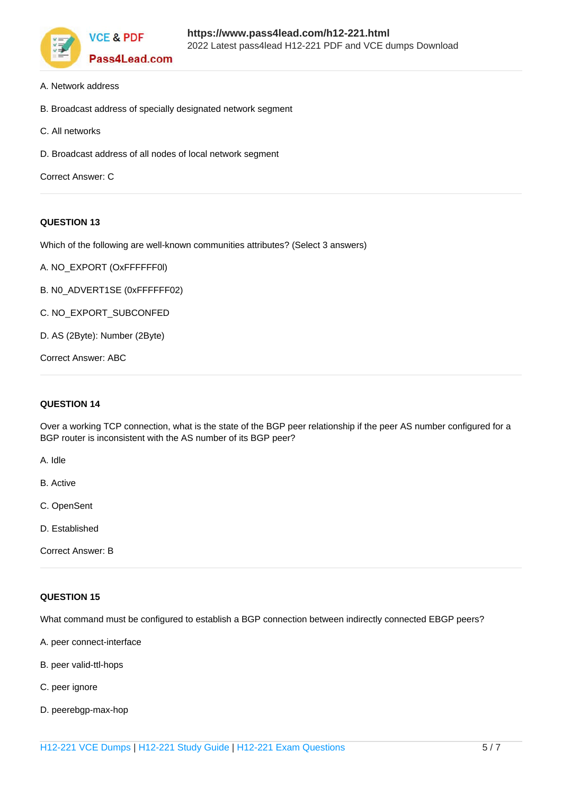

- A. Network address
- B. Broadcast address of specially designated network segment
- C. All networks
- D. Broadcast address of all nodes of local network segment

```
Correct Answer: C
```
#### **QUESTION 13**

Which of the following are well-known communities attributes? (Select 3 answers)

- A. NO\_EXPORT (OxFFFFFF0l)
- B. N0\_ADVERT1SE (0xFFFFFF02)
- C. NO\_EXPORT\_SUBCONFED
- D. AS (2Byte): Number (2Byte)

Correct Answer: ABC

#### **QUESTION 14**

Over a working TCP connection, what is the state of the BGP peer relationship if the peer AS number configured for a BGP router is inconsistent with the AS number of its BGP peer?

A. Idle

- B. Active
- C. OpenSent
- D. Established

Correct Answer: B

#### **QUESTION 15**

What command must be configured to establish a BGP connection between indirectly connected EBGP peers?

- A. peer connect-interface
- B. peer valid-ttl-hops
- C. peer ignore
- D. peerebgp-max-hop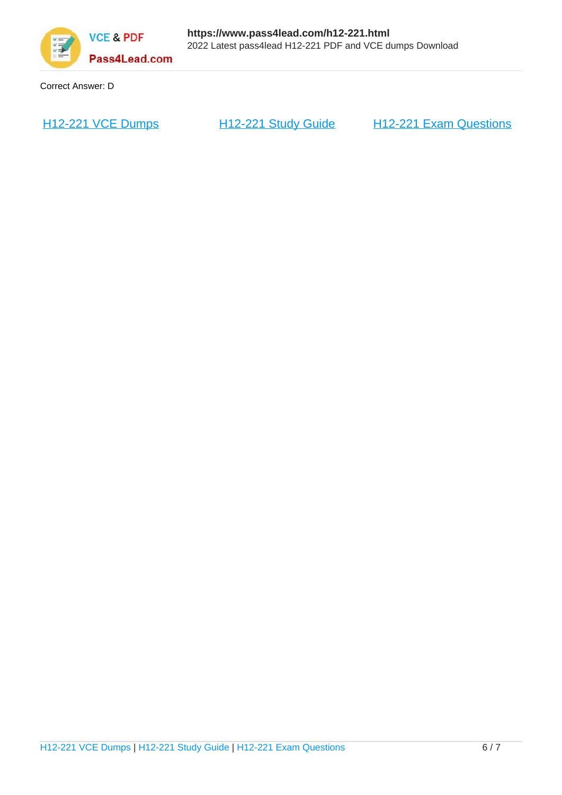

Correct Answer: D

[H12-221 VCE Dumps](https://www.pass4lead.com/h12-221.html) [H12-221 Study Guide](https://www.pass4lead.com/h12-221.html) [H12-221 Exam Questions](https://www.pass4lead.com/h12-221.html)